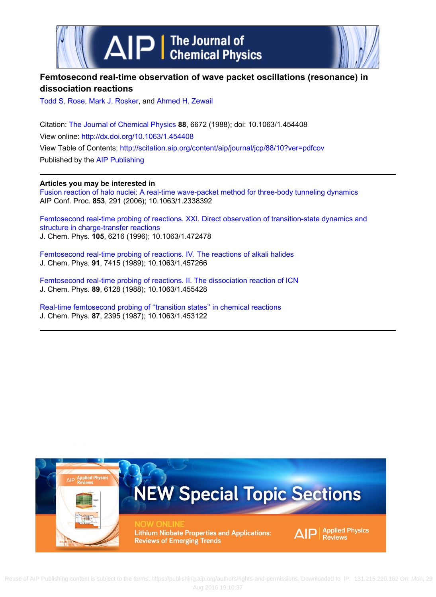



## **Femtosecond real‐time observation of wave packet oscillations (resonance) in dissociation reactions**

[Todd S. Rose](http://scitation.aip.org/search?value1=Todd+S.+Rose&option1=author), [Mark J. Rosker,](http://scitation.aip.org/search?value1=Mark+J.+Rosker&option1=author) and [Ahmed H. Zewail](http://scitation.aip.org/search?value1=Ahmed+H.+Zewail&option1=author)

Citation: [The Journal of Chemical Physics](http://scitation.aip.org/content/aip/journal/jcp?ver=pdfcov) **88**, 6672 (1988); doi: 10.1063/1.454408 View online: <http://dx.doi.org/10.1063/1.454408> View Table of Contents: <http://scitation.aip.org/content/aip/journal/jcp/88/10?ver=pdfcov> Published by the [AIP Publishing](http://scitation.aip.org/content/aip?ver=pdfcov)

**Articles you may be interested in**

Fusion reaction of halo nuclei: A real-time wave-packet method for three-body tunneling dynamics AIP Conf. Proc. **853**, 291 (2006); 10.1063/1.2338392

Femtosecond real-time probing of reactions. XXI. Direct observation of transition-state dynamics and [structure in charge‐transfer reactions](http://scitation.aip.org/content/aip/journal/jcp/105/15/10.1063/1.472478?ver=pdfcov) J. Chem. Phys. **105**, 6216 (1996); 10.1063/1.472478

Femtosecond real-time probing of reactions. IV. The reactions of alkali halides J. Chem. Phys. **91**, 7415 (1989); 10.1063/1.457266

[Femtosecond real‐time probing of reactions. II. The dissociation reaction of ICN](http://scitation.aip.org/content/aip/journal/jcp/89/10/10.1063/1.455428?ver=pdfcov) J. Chem. Phys. **89**, 6128 (1988); 10.1063/1.455428

Real-time femtosecond probing of "transition states" in chemical reactions J. Chem. Phys. **87**, 2395 (1987); 10.1063/1.453122



Reuse of AIP Publishing content is subject to the terms: https://publishing.aip.org/authors/rights-and-permissions. Downloaded to IP: 131.215.220.162 On: Mon, 29 Aug 2016 19:10:37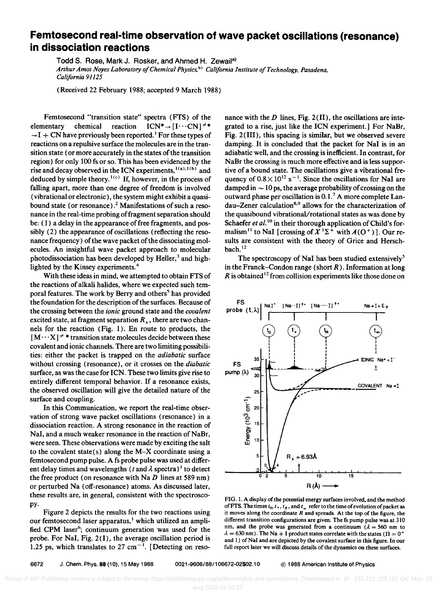## **Femtosecond real-time observation of wave packet oscillations (resonance) in dissociation reactions**

Todd S. Rose, Mark J. Rosker, and Ahmed H. Zewail<sup>a)</sup> *Arthur Amos Noyes Laboratory o/Chemical Physics,* b) *California Institute 0/ Technology, Pasadena, California 91125* 

(Received 22 February 1988; accepted 9 March 1988)

Femtosecond "transition state" spectra (FTS) of the elementary chemical reaction  $ICN^* \rightarrow [I \cdots CN]^{**}$  $-I + CN$  have previously been reported.<sup>1</sup> For these types of reactions on a repulsive surface the molecules are in the transition state (or more accurately in the states of the transition region) for only 100 fs or so. This has been evidenced by the rise and decay observed in the ICN experiments,  $l(a)$ ,  $l(b)$  and deduced by simple theory.<sup>1(c)</sup> If, however, in the process of falling apart, more than one degree of freedom is involved (vibrational or electronic), the system might exhibit a quasibound state (or resonance).<sup>2</sup> Manifestations of such a resonance in the real-time probing of fragment separation should be:  $(1)$  a delay in the appearance of free fragments, and possibly (2) the appearance of oscillations (reflecting the resonance frequency) of the wave packet of the dissociating molecules. An insightful wave packet approach to molecular photodissociation has been developed by Heller, $<sup>3</sup>$  and high-</sup> lighted by the Kinsey experiments. <sup>4</sup>

With these ideas in mind, we attempted to obtain FTS of the reactions of alkali halides, where we expected such temporal features. The work by Berry and others<sup>5</sup> has provided the foundation for the description of the surfaces. Because of the crossing between the *ionic* ground state and the *covalent*  excited state, at fragment separation  $R<sub>x</sub>$ , there are two channels for the reaction (Fig. 1). En route to products, the  $[M \cdots X]$ <sup> $\neq$ </sup>\* transition state molecules decide between these covalent and ionic channels. There are two limiting possibilities: either the packet is trapped on the *adiabatic* surface without crossing (resonance), or it crosses on the *diabatic*  surface, as was the case for ICN. These two limits give rise to entirely different temporal behavior. If a resonance exists, the observed oscillation will give the detailed nature of the surface and coupling.

In this Communication, we report the real-time observation of strong wave packet oscillations (resonance) in a dissociation reaction. A strong resonance in the reaction of Nal, and a much weaker resonance in the reaction of NaBr, were seen. These observations were made by exciting the salt to the covalent state(s) along the  $M-X$  coordinate using a femtosecond pump pulse. A fs probe pulse was used at different delay times and wavelengths ( $t$  and  $\lambda$  spectra)<sup>1</sup> to detect the free product (on resonance with Na  $D$  lines at 589 nm) or perturbed Na (off-resonance) atoms. As discussed later, these results are, in general, consistent with the spectroscopy.

Figure 2 depicts the results for the two reactions using our femtosecond laser apparatus,<sup>1</sup> which utilized an amplified CPM laser<sup>6</sup>; continuum generation was used for the probe. For Nal, Fig. 2(1), the average oscillation period is 1.25 ps, which translates to 27 cm<sup> $-1$ </sup>. [Detecting on resonance with the  $D$  lines, Fig. 2(II), the oscillations are integrated to a rise, just like the ICN experiment.] For NaBr, Fig. 2(111), this spacing is similar, but we observed severe damping. It is concluded that the packet for Nal is in an adiabatic well, and the crossing is inefficient. In contrast, for NaBr the crossing is much more effective and is less supportive of a bound state. The oscillations give a vibrational frequency of  $0.8 \times 10^{12}$  s<sup>-1</sup>. Since the oscillations for NaI are damped in  $\sim$  10 ps, the average probability of crossing on the outward phase per oscillation is 0.1.<sup>7</sup> A more complete Landau–Zener calculation<sup>8,9</sup> allows for the characterization of the quasibound vibrational/rotational states as was done by Schaefer *et al.*<sup>10</sup> in their thorough application of Child's formalism<sup>11</sup> to NaI [crossing of  $X^1\Sigma^+$  with  $A(O^+)$ ]. Our results are consistent with the theory of Grice and Herschbach. 12

The spectroscopy of NaI has been studied extensively<sup>5</sup> in the Franck-Condon range (short  $R$ ). Information at long *R* is obtained<sup>12</sup> from collision experiments like those done on



FIG. 1. A display of the potential energy surfaces involved, and the method of FTS. The times  $t_0, t_*, t_R$ , and  $t_{\infty}$  refer to the time of evolution of packet as it moves along the coordinate *R* and spreads. At the top of the figure, the different transition configurations are given. The fs pump pulse was at 310 nm, and the probe was generated from a continuum  $(\lambda = 560 \text{ nm})$  to  $\lambda = 630$  nm). The Na + I product states correlate with the states ( $\Omega = 0^{+}$ and 1) of NaI and are depicted by the covalent surface in this figure. In our full report later we will discuss details of the dynamics on these surfaces.